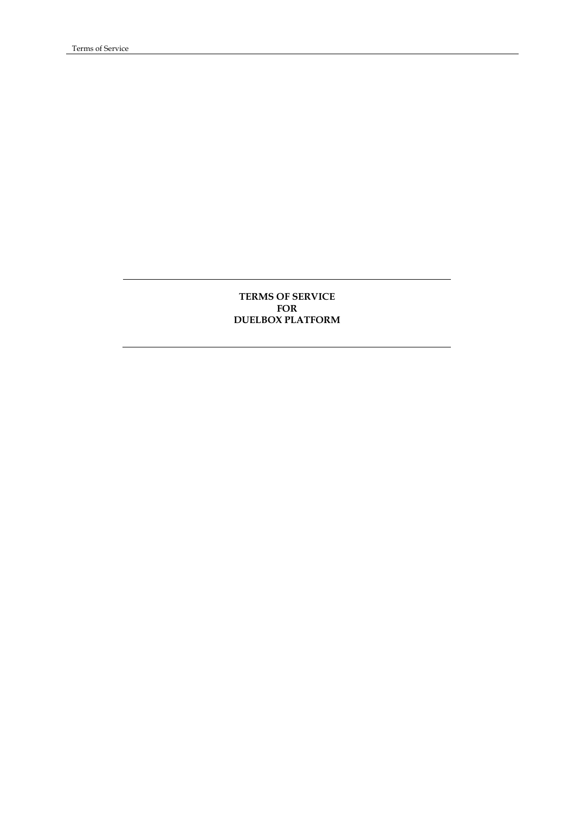# **TERMS OF SERVICE FOR DUELBOX PLATFORM**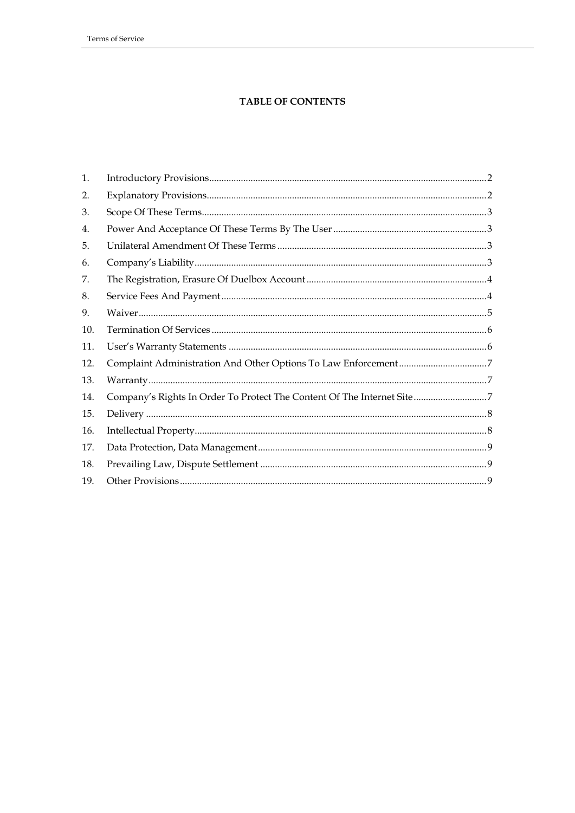# **TABLE OF CONTENTS**

| 1.  |                                                                        |  |
|-----|------------------------------------------------------------------------|--|
| 2.  |                                                                        |  |
| 3.  |                                                                        |  |
| 4.  |                                                                        |  |
| 5.  |                                                                        |  |
| 6.  |                                                                        |  |
| 7.  |                                                                        |  |
| 8.  |                                                                        |  |
| 9.  |                                                                        |  |
| 10. |                                                                        |  |
| 11. |                                                                        |  |
| 12. |                                                                        |  |
| 13. |                                                                        |  |
| 14. | Company's Rights In Order To Protect The Content Of The Internet Site7 |  |
| 15. |                                                                        |  |
| 16. |                                                                        |  |
| 17. |                                                                        |  |
| 18. |                                                                        |  |
| 19. |                                                                        |  |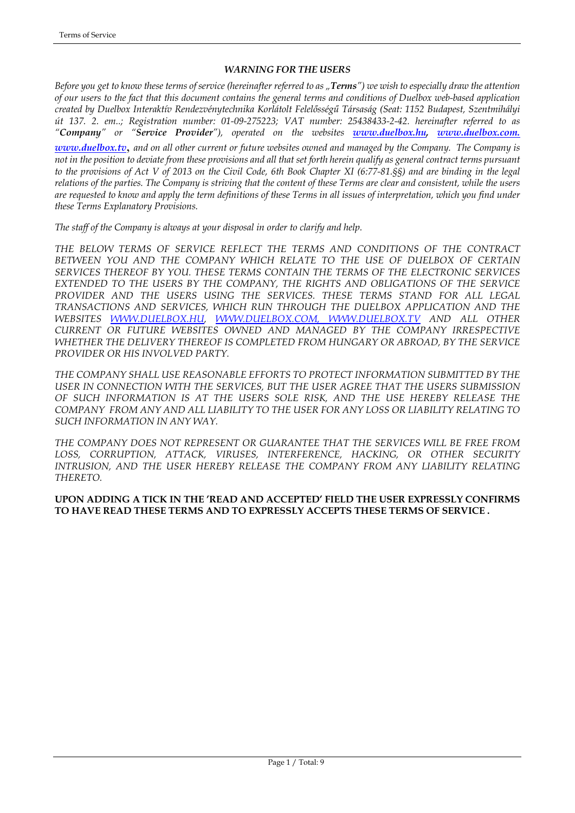# *WARNING FOR THE USERS*

*Before you get to know these terms of service (hereinafter referred to as "Terms") we wish to especially draw the attention of our users to the fact that this document contains the general terms and conditions of Duelbox web-based application created by Duelbox Interaktív Rendezvénytechnika Korlátolt Felelősségű Társaság (Seat: 1152 Budapest, Szentmihályi út 137. 2. em..; Registration number: 01-09-275223; VAT number: 25438433-2-42. hereinafter referred to as "Company" or "Service Provider"), operated on the websites [www.duelbox.hu,](http://www.duelbox.hu/) [www.duelbox.com.](http://www.duelbox.com/)* 

*[www.duelbox.tv](http://www.duelbox.tv/)*, *and on all other current or future websites owned and managed by the Company. The Company is not in the position to deviate from these provisions and all that set forth herein qualify as general contract terms pursuant to the provisions of Act V of 2013 on the Civil Code, 6th Book Chapter XI (6:77-81.§§) and are binding in the legal relations of the parties. The Company is striving that the content of these Terms are clear and consistent, while the users are requested to know and apply the term definitions of these Terms in all issues of interpretation, which you find under these Terms Explanatory Provisions.* 

*The staff of the Company is always at your disposal in order to clarify and help.* 

*THE BELOW TERMS OF SERVICE REFLECT THE TERMS AND CONDITIONS OF THE CONTRACT BETWEEN YOU AND THE COMPANY WHICH RELATE TO THE USE OF DUELBOX OF CERTAIN SERVICES THEREOF BY YOU. THESE TERMS CONTAIN THE TERMS OF THE ELECTRONIC SERVICES EXTENDED TO THE USERS BY THE COMPANY, THE RIGHTS AND OBLIGATIONS OF THE SERVICE PROVIDER AND THE USERS USING THE SERVICES. THESE TERMS STAND FOR ALL LEGAL TRANSACTIONS AND SERVICES, WHICH RUN THROUGH THE DUELBOX APPLICATION AND THE WEBSITES [WWW.DUELBOX.HU](http://www.duelbox.hu/), [WWW.DUELBOX.COM](http://www.duelbox.com/), [WWW.DUELBOX.TV](http://www.duelbox.tv/) AND ALL OTHER CURRENT OR FUTURE WEBSITES OWNED AND MANAGED BY THE COMPANY IRRESPECTIVE WHETHER THE DELIVERY THEREOF IS COMPLETED FROM HUNGARY OR ABROAD, BY THE SERVICE PROVIDER OR HIS INVOLVED PARTY.*

*THE COMPANY SHALL USE REASONABLE EFFORTS TO PROTECT INFORMATION SUBMITTED BY THE USER IN CONNECTION WITH THE SERVICES, BUT THE USER AGREE THAT THE USERS SUBMISSION OF SUCH INFORMATION IS AT THE USERS SOLE RISK, AND THE USE HEREBY RELEASE THE COMPANY FROM ANY AND ALL LIABILITY TO THE USER FOR ANY LOSS OR LIABILITY RELATING TO SUCH INFORMATION IN ANY WAY.*

*THE COMPANY DOES NOT REPRESENT OR GUARANTEE THAT THE SERVICES WILL BE FREE FROM LOSS, CORRUPTION, ATTACK, VIRUSES, INTERFERENCE, HACKING, OR OTHER SECURITY INTRUSION, AND THE USER HEREBY RELEASE THE COMPANY FROM ANY LIABILITY RELATING THERETO.* 

# **UPON ADDING A TICK IN THE 'READ AND ACCEPTED' FIELD THE USER EXPRESSLY CONFIRMS TO HAVE READ THESE TERMS AND TO EXPRESSLY ACCEPTS THESE TERMS OF SERVICE .**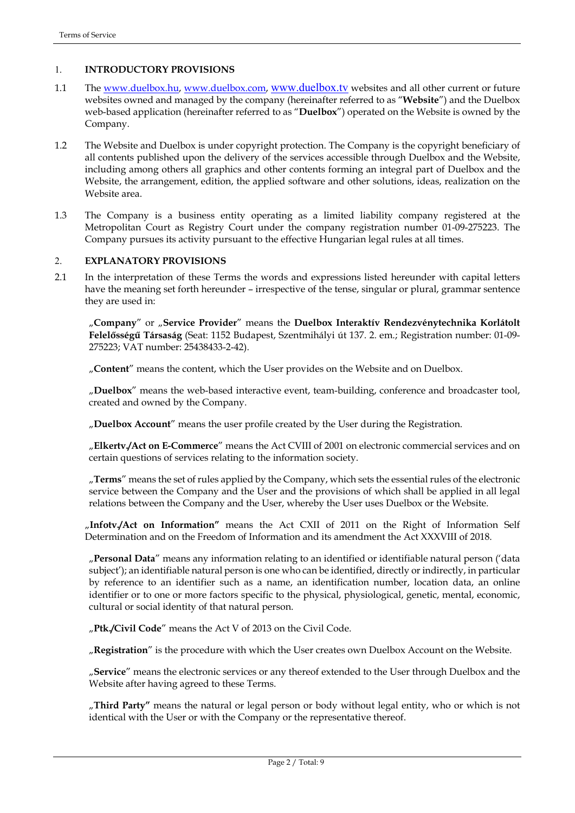# 1. **INTRODUCTORY PROVISIONS**

- 1.1 The [www.duelbox.hu,](http://www.duelbox.hu/) [www.duelbox.com,](http://www.duelbox.com/) www.duelbox.tv websites and all other current or future websites owned and managed by the company (hereinafter referred to as "**Website**") and the Duelbox web-based application (hereinafter referred to as "**Duelbox**") operated on the Website is owned by the Company.
- 1.2 The Website and Duelbox is under copyright protection. The Company is the copyright beneficiary of all contents published upon the delivery of the services accessible through Duelbox and the Website, including among others all graphics and other contents forming an integral part of Duelbox and the Website, the arrangement, edition, the applied software and other solutions, ideas, realization on the Website area.
- 1.3 The Company is a business entity operating as a limited liability company registered at the Metropolitan Court as Registry Court under the company registration number 01-09-275223. The Company pursues its activity pursuant to the effective Hungarian legal rules at all times.

# 2. **EXPLANATORY PROVISIONS**

2.1 In the interpretation of these Terms the words and expressions listed hereunder with capital letters have the meaning set forth hereunder – irrespective of the tense, singular or plural, grammar sentence they are used in:

"**Company**" or "**Service Provider**" means the **Duelbox Interaktív Rendezvénytechnika Korlátolt Felelősségű Társaság** (Seat: 1152 Budapest, Szentmihályi út 137. 2. em.; Registration number: 01-09- 275223; VAT number: 25438433-2-42).

"**Content**" means the content, which the User provides on the Website and on Duelbox.

"**Duelbox**" means the web-based interactive event, team-building, conference and broadcaster tool, created and owned by the Company.

"**Duelbox Account**" means the user profile created by the User during the Registration.

"**Elkertv./Act on E-Commerce**" means the Act CVIII of 2001 on electronic commercial services and on certain questions of services relating to the information society.

"**Terms**" means the set of rules applied by the Company, which sets the essential rules of the electronic service between the Company and the User and the provisions of which shall be applied in all legal relations between the Company and the User, whereby the User uses Duelbox or the Website.

"**Infotv./Act on Information"** means the Act CXII of 2011 on the Right of Information Self Determination and on the Freedom of Information and its amendment the Act XXXVIII of 2018.

"**Personal Data**" means any information relating to an identified or identifiable natural person ('data subject'); an identifiable natural person is one who can be identified, directly or indirectly, in particular by reference to an identifier such as a name, an identification number, location data, an online identifier or to one or more factors specific to the physical, physiological, genetic, mental, economic, cultural or social identity of that natural person.

"**Ptk./Civil Code**" means the Act V of 2013 on the Civil Code.

"**Registration**" is the procedure with which the User creates own Duelbox Account on the Website.

"**Service**" means the electronic services or any thereof extended to the User through Duelbox and the Website after having agreed to these Terms.

"**Third Party"** means the natural or legal person or body without legal entity, who or which is not identical with the User or with the Company or the representative thereof.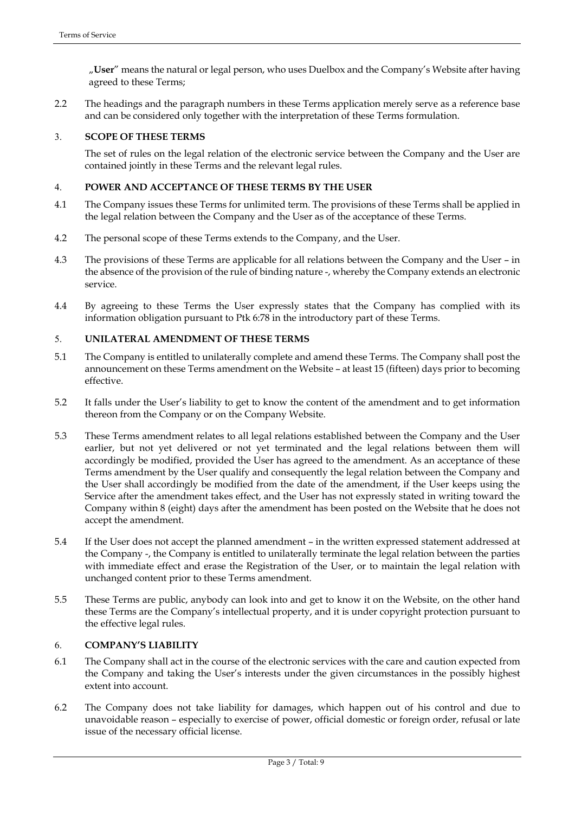"**User**" means the natural or legal person, who uses Duelbox and the Company's Website after having agreed to these Terms;

2.2 The headings and the paragraph numbers in these Terms application merely serve as a reference base and can be considered only together with the interpretation of these Terms formulation.

#### 3. **SCOPE OF THESE TERMS**

The set of rules on the legal relation of the electronic service between the Company and the User are contained jointly in these Terms and the relevant legal rules.

# 4. **POWER AND ACCEPTANCE OF THESE TERMS BY THE USER**

- 4.1 The Company issues these Terms for unlimited term. The provisions of these Terms shall be applied in the legal relation between the Company and the User as of the acceptance of these Terms.
- 4.2 The personal scope of these Terms extends to the Company, and the User.
- 4.3 The provisions of these Terms are applicable for all relations between the Company and the User in the absence of the provision of the rule of binding nature -, whereby the Company extends an electronic service.
- 4.4 By agreeing to these Terms the User expressly states that the Company has complied with its information obligation pursuant to Ptk 6:78 in the introductory part of these Terms.

#### 5. **UNILATERAL AMENDMENT OF THESE TERMS**

- 5.1 The Company is entitled to unilaterally complete and amend these Terms. The Company shall post the announcement on these Terms amendment on the Website – at least 15 (fifteen) days prior to becoming effective.
- 5.2 It falls under the User's liability to get to know the content of the amendment and to get information thereon from the Company or on the Company Website.
- 5.3 These Terms amendment relates to all legal relations established between the Company and the User earlier, but not yet delivered or not yet terminated and the legal relations between them will accordingly be modified, provided the User has agreed to the amendment. As an acceptance of these Terms amendment by the User qualify and consequently the legal relation between the Company and the User shall accordingly be modified from the date of the amendment, if the User keeps using the Service after the amendment takes effect, and the User has not expressly stated in writing toward the Company within 8 (eight) days after the amendment has been posted on the Website that he does not accept the amendment.
- 5.4 If the User does not accept the planned amendment in the written expressed statement addressed at the Company -, the Company is entitled to unilaterally terminate the legal relation between the parties with immediate effect and erase the Registration of the User, or to maintain the legal relation with unchanged content prior to these Terms amendment.
- 5.5 These Terms are public, anybody can look into and get to know it on the Website, on the other hand these Terms are the Company's intellectual property, and it is under copyright protection pursuant to the effective legal rules.

#### 6. **COMPANY'S LIABILITY**

- 6.1 The Company shall act in the course of the electronic services with the care and caution expected from the Company and taking the User's interests under the given circumstances in the possibly highest extent into account.
- 6.2 The Company does not take liability for damages, which happen out of his control and due to unavoidable reason – especially to exercise of power, official domestic or foreign order, refusal or late issue of the necessary official license.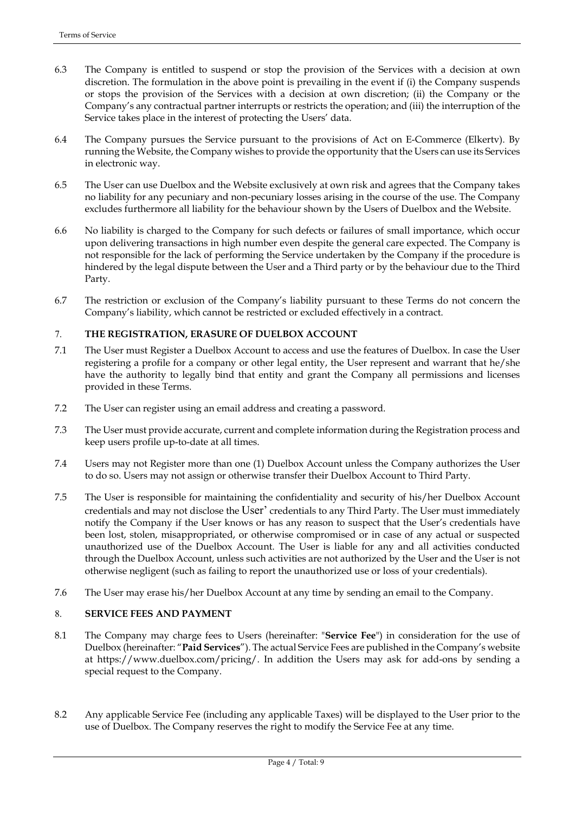- 6.3 The Company is entitled to suspend or stop the provision of the Services with a decision at own discretion. The formulation in the above point is prevailing in the event if (i) the Company suspends or stops the provision of the Services with a decision at own discretion; (ii) the Company or the Company's any contractual partner interrupts or restricts the operation; and (iii) the interruption of the Service takes place in the interest of protecting the Users' data.
- 6.4 The Company pursues the Service pursuant to the provisions of Act on E-Commerce (Elkertv). By running the Website, the Company wishes to provide the opportunity that the Users can use its Services in electronic way.
- 6.5 The User can use Duelbox and the Website exclusively at own risk and agrees that the Company takes no liability for any pecuniary and non-pecuniary losses arising in the course of the use. The Company excludes furthermore all liability for the behaviour shown by the Users of Duelbox and the Website.
- 6.6 No liability is charged to the Company for such defects or failures of small importance, which occur upon delivering transactions in high number even despite the general care expected. The Company is not responsible for the lack of performing the Service undertaken by the Company if the procedure is hindered by the legal dispute between the User and a Third party or by the behaviour due to the Third Party.
- 6.7 The restriction or exclusion of the Company's liability pursuant to these Terms do not concern the Company's liability, which cannot be restricted or excluded effectively in a contract.

# 7. **THE REGISTRATION, ERASURE OF DUELBOX ACCOUNT**

- 7.1 The User must Register a Duelbox Account to access and use the features of Duelbox. In case the User registering a profile for a company or other legal entity, the User represent and warrant that he/she have the authority to legally bind that entity and grant the Company all permissions and licenses provided in these Terms.
- 7.2 The User can register using an email address and creating a password.
- 7.3 The User must provide accurate, current and complete information during the Registration process and keep users profile up-to-date at all times.
- 7.4 Users may not Register more than one (1) Duelbox Account unless the Company authorizes the User to do so. Users may not assign or otherwise transfer their Duelbox Account to Third Party.
- 7.5 The User is responsible for maintaining the confidentiality and security of his/her Duelbox Account credentials and may not disclose the User' credentials to any Third Party. The User must immediately notify the Company if the User knows or has any reason to suspect that the User's credentials have been lost, stolen, misappropriated, or otherwise compromised or in case of any actual or suspected unauthorized use of the Duelbox Account. The User is liable for any and all activities conducted through the Duelbox Account, unless such activities are not authorized by the User and the User is not otherwise negligent (such as failing to report the unauthorized use or loss of your credentials).
- 7.6 The User may erase his/her Duelbox Account at any time by sending an email to the Company.

#### 8. **SERVICE FEES AND PAYMENT**

- 8.1 The Company may charge fees to Users (hereinafter: "**Service Fee**") in consideration for the use of Duelbox (hereinafter: "**Paid Services**"). The actual Service Fees are published in the Company's website at [https://www.duelbox.com/pricing/.](https://www.duelbox.com/pricing/) In addition the Users may ask for add-ons by sending a special request to the Company.
- 8.2 Any applicable Service Fee (including any applicable Taxes) will be displayed to the User prior to the use of Duelbox. The Company reserves the right to modify the Service Fee at any time.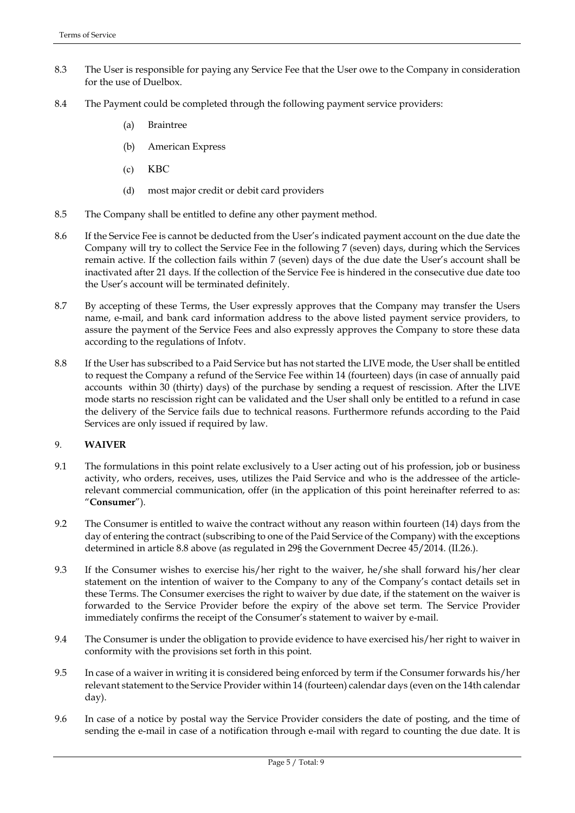- 8.3 The User is responsible for paying any Service Fee that the User owe to the Company in consideration for the use of Duelbox.
- 8.4 The Payment could be completed through the following payment service providers:
	- (a) Braintree
	- (b) American Express
	- (c) KBC
	- (d) most major credit or debit card providers
- 8.5 The Company shall be entitled to define any other payment method.
- 8.6 If the Service Fee is cannot be deducted from the User's indicated payment account on the due date the Company will try to collect the Service Fee in the following 7 (seven) days, during which the Services remain active. If the collection fails within 7 (seven) days of the due date the User's account shall be inactivated after 21 days. If the collection of the Service Fee is hindered in the consecutive due date too the User's account will be terminated definitely.
- 8.7 By accepting of these Terms, the User expressly approves that the Company may transfer the Users name, e-mail, and bank card information address to the above listed payment service providers, to assure the payment of the Service Fees and also expressly approves the Company to store these data according to the regulations of Infotv.
- 8.8 If the User has subscribed to a Paid Service but has not started the LIVE mode, the User shall be entitled to request the Company a refund of the Service Fee within 14 (fourteen) days (in case of annually paid accounts within 30 (thirty) days) of the purchase by sending a request of rescission. After the LIVE mode starts no rescission right can be validated and the User shall only be entitled to a refund in case the delivery of the Service fails due to technical reasons. Furthermore refunds according to the Paid Services are only issued if required by law.

# 9. **WAIVER**

- 9.1 The formulations in this point relate exclusively to a User acting out of his profession, job or business activity, who orders, receives, uses, utilizes the Paid Service and who is the addressee of the articlerelevant commercial communication, offer (in the application of this point hereinafter referred to as: "**Consumer**").
- 9.2 The Consumer is entitled to waive the contract without any reason within fourteen (14) days from the day of entering the contract (subscribing to one of the Paid Service of the Company) with the exceptions determined in article 8.8 above (as regulated in 29§ the Government Decree 45/2014. (II.26.).
- 9.3 If the Consumer wishes to exercise his/her right to the waiver, he/she shall forward his/her clear statement on the intention of waiver to the Company to any of the Company's contact details set in these Terms. The Consumer exercises the right to waiver by due date, if the statement on the waiver is forwarded to the Service Provider before the expiry of the above set term. The Service Provider immediately confirms the receipt of the Consumer's statement to waiver by e-mail.
- 9.4 The Consumer is under the obligation to provide evidence to have exercised his/her right to waiver in conformity with the provisions set forth in this point.
- 9.5 In case of a waiver in writing it is considered being enforced by term if the Consumer forwards his/her relevant statement to the Service Provider within 14 (fourteen) calendar days (even on the 14th calendar day).
- 9.6 In case of a notice by postal way the Service Provider considers the date of posting, and the time of sending the e-mail in case of a notification through e-mail with regard to counting the due date. It is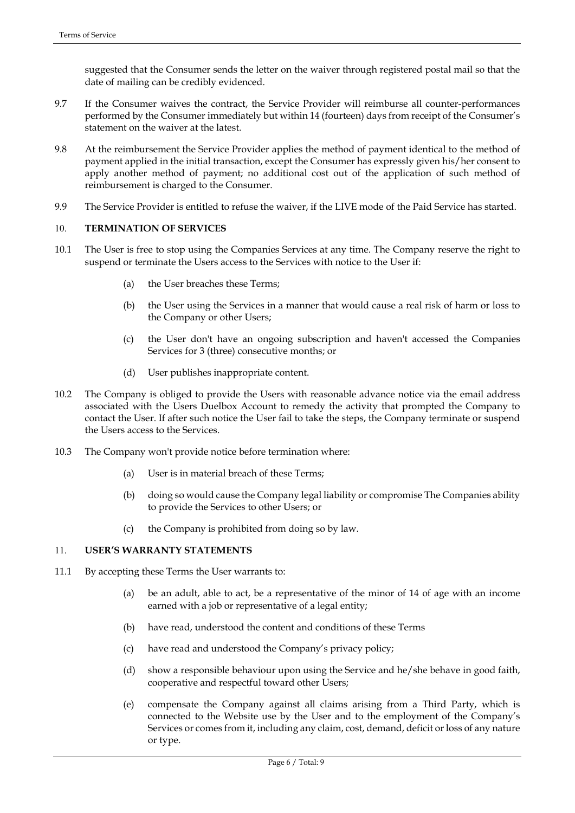suggested that the Consumer sends the letter on the waiver through registered postal mail so that the date of mailing can be credibly evidenced.

- 9.7 If the Consumer waives the contract, the Service Provider will reimburse all counter-performances performed by the Consumer immediately but within 14 (fourteen) days from receipt of the Consumer's statement on the waiver at the latest.
- 9.8 At the reimbursement the Service Provider applies the method of payment identical to the method of payment applied in the initial transaction, except the Consumer has expressly given his/her consent to apply another method of payment; no additional cost out of the application of such method of reimbursement is charged to the Consumer.
- 9.9 The Service Provider is entitled to refuse the waiver, if the LIVE mode of the Paid Service has started.

#### 10. **TERMINATION OF SERVICES**

- 10.1 The User is free to stop using the Companies Services at any time. The Company reserve the right to suspend or terminate the Users access to the Services with notice to the User if:
	- (a) the User breaches these Terms;
	- (b) the User using the Services in a manner that would cause a real risk of harm or loss to the Company or other Users;
	- (c) the User don't have an ongoing subscription and haven't accessed the Companies Services for 3 (three) consecutive months; or
	- (d) User publishes inappropriate content.
- 10.2 The Company is obliged to provide the Users with reasonable advance notice via the email address associated with the Users Duelbox Account to remedy the activity that prompted the Company to contact the User. If after such notice the User fail to take the steps, the Company terminate or suspend the Users access to the Services.
- 10.3 The Company won't provide notice before termination where:
	- (a) User is in material breach of these Terms;
	- (b) doing so would cause the Company legal liability or compromise The Companies ability to provide the Services to other Users; or
	- (c) the Company is prohibited from doing so by law.

#### 11. **USER'S WARRANTY STATEMENTS**

- 11.1 By accepting these Terms the User warrants to:
	- (a) be an adult, able to act, be a representative of the minor of 14 of age with an income earned with a job or representative of a legal entity;
	- (b) have read, understood the content and conditions of these Terms
	- (c) have read and understood the Company's privacy policy;
	- (d) show a responsible behaviour upon using the Service and he/she behave in good faith, cooperative and respectful toward other Users;
	- (e) compensate the Company against all claims arising from a Third Party, which is connected to the Website use by the User and to the employment of the Company's Services or comes from it, including any claim, cost, demand, deficit or loss of any nature or type.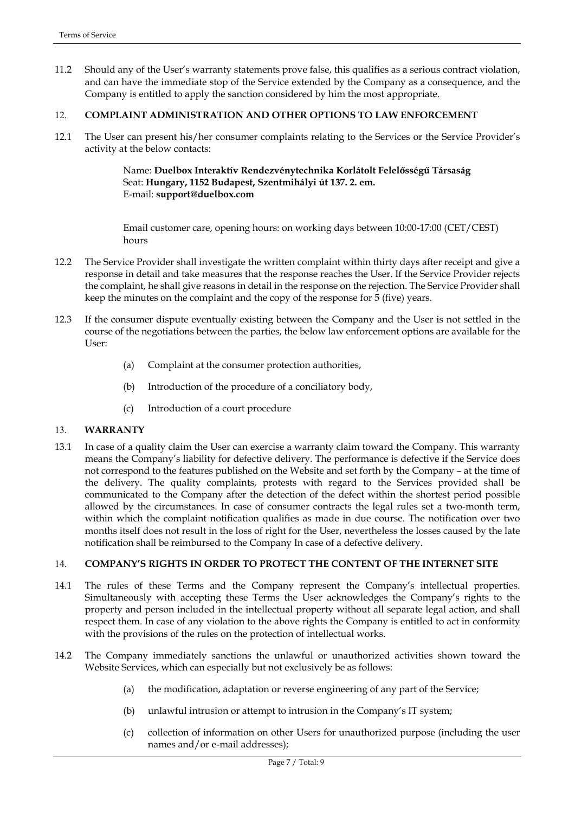11.2 Should any of the User's warranty statements prove false, this qualifies as a serious contract violation, and can have the immediate stop of the Service extended by the Company as a consequence, and the Company is entitled to apply the sanction considered by him the most appropriate.

#### 12. **COMPLAINT ADMINISTRATION AND OTHER OPTIONS TO LAW ENFORCEMENT**

12.1 The User can present his/her consumer complaints relating to the Services or the Service Provider's activity at the below contacts:

> Name: **Duelbox Interaktív Rendezvénytechnika Korlátolt Felelősségű Társaság** Seat: **Hungary, 1152 Budapest, Szentmihályi út 137. 2. em.** E-mail: **support@duelbox.com**

Email customer care, opening hours: on working days between 10:00-17:00 (CET/CEST) hours

- 12.2 The Service Provider shall investigate the written complaint within thirty days after receipt and give a response in detail and take measures that the response reaches the User. If the Service Provider rejects the complaint, he shall give reasons in detail in the response on the rejection. The Service Provider shall keep the minutes on the complaint and the copy of the response for 5 (five) years.
- 12.3 If the consumer dispute eventually existing between the Company and the User is not settled in the course of the negotiations between the parties, the below law enforcement options are available for the User:
	- (a) Complaint at the consumer protection authorities,
	- (b) Introduction of the procedure of a conciliatory body,
	- (c) Introduction of a court procedure

# 13. **WARRANTY**

13.1 In case of a quality claim the User can exercise a warranty claim toward the Company. This warranty means the Company's liability for defective delivery. The performance is defective if the Service does not correspond to the features published on the Website and set forth by the Company – at the time of the delivery. The quality complaints, protests with regard to the Services provided shall be communicated to the Company after the detection of the defect within the shortest period possible allowed by the circumstances. In case of consumer contracts the legal rules set a two-month term, within which the complaint notification qualifies as made in due course. The notification over two months itself does not result in the loss of right for the User, nevertheless the losses caused by the late notification shall be reimbursed to the Company In case of a defective delivery.

#### 14. **COMPANY'S RIGHTS IN ORDER TO PROTECT THE CONTENT OF THE INTERNET SITE**

- 14.1 The rules of these Terms and the Company represent the Company's intellectual properties. Simultaneously with accepting these Terms the User acknowledges the Company's rights to the property and person included in the intellectual property without all separate legal action, and shall respect them. In case of any violation to the above rights the Company is entitled to act in conformity with the provisions of the rules on the protection of intellectual works.
- 14.2 The Company immediately sanctions the unlawful or unauthorized activities shown toward the Website Services, which can especially but not exclusively be as follows:
	- (a) the modification, adaptation or reverse engineering of any part of the Service;
	- (b) unlawful intrusion or attempt to intrusion in the Company's IT system;
	- (c) collection of information on other Users for unauthorized purpose (including the user names and/or e-mail addresses);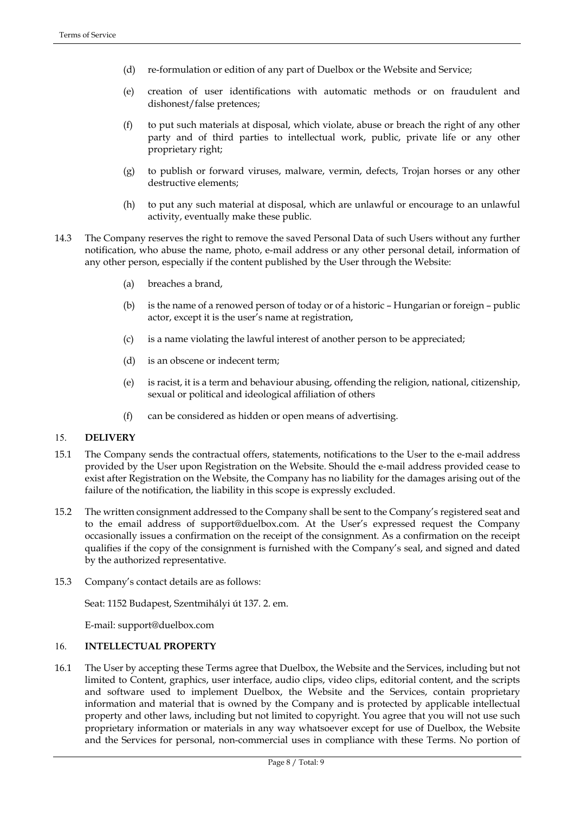- (d) re-formulation or edition of any part of Duelbox or the Website and Service;
- (e) creation of user identifications with automatic methods or on fraudulent and dishonest/false pretences;
- (f) to put such materials at disposal, which violate, abuse or breach the right of any other party and of third parties to intellectual work, public, private life or any other proprietary right;
- (g) to publish or forward viruses, malware, vermin, defects, Trojan horses or any other destructive elements;
- (h) to put any such material at disposal, which are unlawful or encourage to an unlawful activity, eventually make these public.
- 14.3 The Company reserves the right to remove the saved Personal Data of such Users without any further notification, who abuse the name, photo, e-mail address or any other personal detail, information of any other person, especially if the content published by the User through the Website:
	- (a) breaches a brand,
	- (b) is the name of a renowed person of today or of a historic Hungarian or foreign public actor, except it is the user's name at registration,
	- (c) is a name violating the lawful interest of another person to be appreciated;
	- (d) is an obscene or indecent term;
	- (e) is racist, it is a term and behaviour abusing, offending the religion, national, citizenship, sexual or political and ideological affiliation of others
	- (f) can be considered as hidden or open means of advertising.

# 15. **DELIVERY**

- 15.1 The Company sends the contractual offers, statements, notifications to the User to the e-mail address provided by the User upon Registration on the Website. Should the e-mail address provided cease to exist after Registration on the Website, the Company has no liability for the damages arising out of the failure of the notification, the liability in this scope is expressly excluded.
- 15.2 The written consignment addressed to the Company shall be sent to the Company's registered seat and to the email address of support@duelbox.com. At the User's expressed request the Company occasionally issues a confirmation on the receipt of the consignment. As a confirmation on the receipt qualifies if the copy of the consignment is furnished with the Company's seal, and signed and dated by the authorized representative.
- 15.3 Company's contact details are as follows:

Seat: 1152 Budapest, Szentmihályi út 137. 2. em.

E-mail: support@duelbox.com

# 16. **INTELLECTUAL PROPERTY**

16.1 The User by accepting these Terms agree that Duelbox, the Website and the Services, including but not limited to Content, graphics, user interface, audio clips, video clips, editorial content, and the scripts and software used to implement Duelbox, the Website and the Services, contain proprietary information and material that is owned by the Company and is protected by applicable intellectual property and other laws, including but not limited to copyright. You agree that you will not use such proprietary information or materials in any way whatsoever except for use of Duelbox, the Website and the Services for personal, non-commercial uses in compliance with these Terms. No portion of